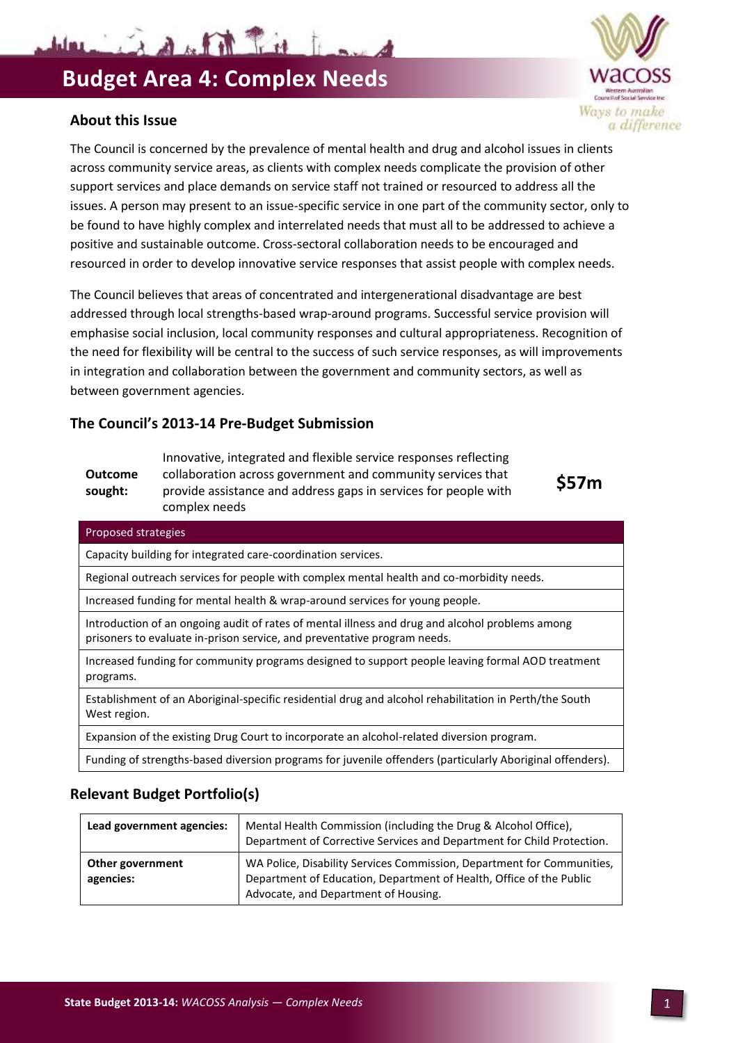Warning of the Trie Isa

#### **About this Issue**

**Outcome** 

The Council is concerned by the prevalence of mental health and drug and alcohol issues in clients across community service areas, as clients with complex needs complicate the provision of other support services and place demands on service staff not trained or resourced to address all the issues. A person may present to an issue-specific service in one part of the community sector, only to be found to have highly complex and interrelated needs that must all to be addressed to achieve a positive and sustainable outcome. Cross-sectoral collaboration needs to be encouraged and resourced in order to develop innovative service responses that assist people with complex needs.

The Council believes that areas of concentrated and intergenerational disadvantage are best addressed through local strengths-based wrap-around programs. Successful service provision will emphasise social inclusion, local community responses and cultural appropriateness. Recognition of the need for flexibility will be central to the success of such service responses, as will improvements in integration and collaboration between the government and community sectors, as well as between government agencies.

> Innovative, integrated and flexible service responses reflecting collaboration across government and community services that

### **The Council's 2013-14 Pre-Budget Submission**

| Outcome<br>sought:                                                                                                                                                          | collaboration across government and community services that<br>S57m<br>provide assistance and address gaps in services for people with<br>complex needs |  |  |  |  |  |
|-----------------------------------------------------------------------------------------------------------------------------------------------------------------------------|---------------------------------------------------------------------------------------------------------------------------------------------------------|--|--|--|--|--|
| Proposed strategies                                                                                                                                                         |                                                                                                                                                         |  |  |  |  |  |
| Capacity building for integrated care-coordination services.                                                                                                                |                                                                                                                                                         |  |  |  |  |  |
| Regional outreach services for people with complex mental health and co-morbidity needs.                                                                                    |                                                                                                                                                         |  |  |  |  |  |
| Increased funding for mental health & wrap-around services for young people.                                                                                                |                                                                                                                                                         |  |  |  |  |  |
| Introduction of an ongoing audit of rates of mental illness and drug and alcohol problems among<br>prisoners to evaluate in-prison service, and preventative program needs. |                                                                                                                                                         |  |  |  |  |  |
| Increased funding for community programs designed to support people leaving formal AOD treatment<br>programs.                                                               |                                                                                                                                                         |  |  |  |  |  |
| Establishment of an Aboriginal-specific residential drug and alcohol rehabilitation in Perth/the South<br>West region.                                                      |                                                                                                                                                         |  |  |  |  |  |
| Expansion of the existing Drug Court to incorporate an alcohol-related diversion program.                                                                                   |                                                                                                                                                         |  |  |  |  |  |

**Relevant Budget Portfolio(s)**

| Lead government agencies:     | Mental Health Commission (including the Drug & Alcohol Office),<br>Department of Corrective Services and Department for Child Protection.                                             |
|-------------------------------|---------------------------------------------------------------------------------------------------------------------------------------------------------------------------------------|
| Other government<br>agencies: | WA Police, Disability Services Commission, Department for Communities,<br>Department of Education, Department of Health, Office of the Public<br>Advocate, and Department of Housing. |

Funding of strengths-based diversion programs for juvenile offenders (particularly Aboriginal offenders).

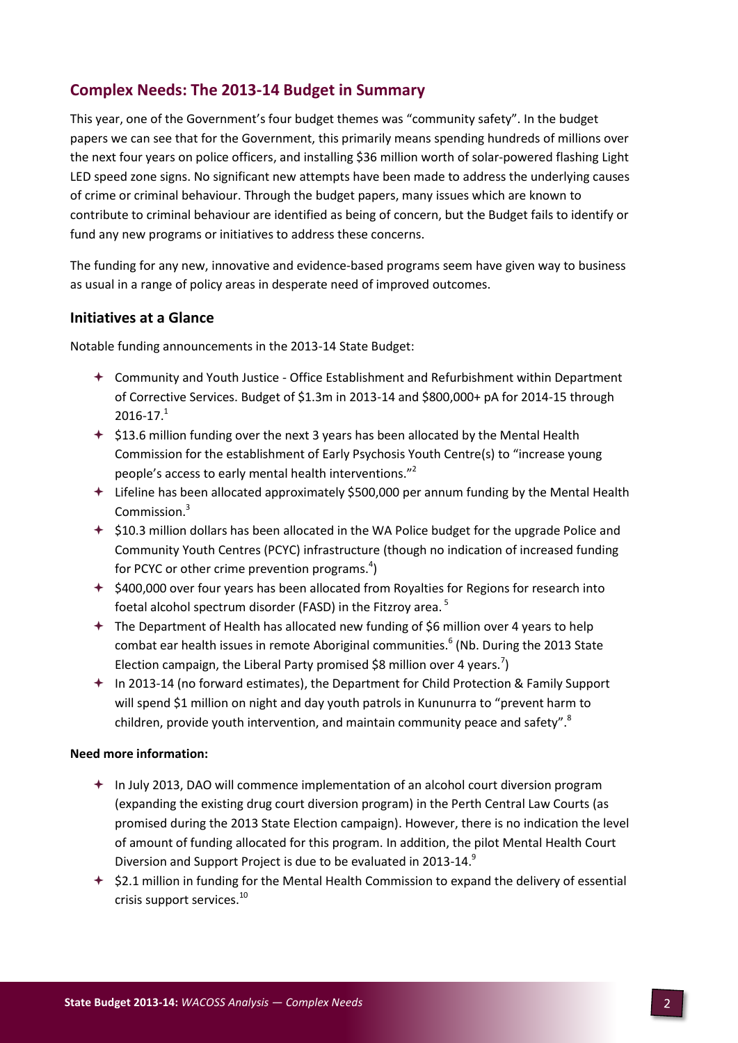## **Complex Needs: The 2013-14 Budget in Summary**

This year, one of the Government's four budget themes was "community safety". In the budget papers we can see that for the Government, this primarily means spending hundreds of millions over the next four years on police officers, and installing \$36 million worth of solar-powered flashing Light LED speed zone signs. No significant new attempts have been made to address the underlying causes of crime or criminal behaviour. Through the budget papers, many issues which are known to contribute to criminal behaviour are identified as being of concern, but the Budget fails to identify or fund any new programs or initiatives to address these concerns.

The funding for any new, innovative and evidence-based programs seem have given way to business as usual in a range of policy areas in desperate need of improved outcomes.

#### **Initiatives at a Glance**

Notable funding announcements in the 2013-14 State Budget:

- Community and Youth Justice Office Establishment and Refurbishment within Department of Corrective Services. Budget of \$1.3m in 2013-14 and \$800,000+ pA for 2014-15 through  $2016 - 17.<sup>1</sup>$
- $\div$  \$13.6 million funding over the next 3 years has been allocated by the Mental Health Commission for the establishment of Early Psychosis Youth Centre(s) to "increase young people's access to early mental health interventions."<sup>2</sup>
- Lifeline has been allocated approximately \$500,000 per annum funding by the Mental Health Commission.<sup>3</sup>
- $\div$  \$10.3 million dollars has been allocated in the WA Police budget for the upgrade Police and Community Youth Centres (PCYC) infrastructure (though no indication of increased funding for PCYC or other crime prevention programs. $4$ )
- $\div$  \$400,000 over four years has been allocated from Royalties for Regions for research into foetal alcohol spectrum disorder (FASD) in the Fitzroy area. <sup>5</sup>
- $+$  The Department of Health has allocated new funding of \$6 million over 4 years to help combat ear health issues in remote Aboriginal communities. 6 (Nb. During the 2013 State Election campaign, the Liberal Party promised \$8 million over 4 years.<sup>7</sup>)
- In 2013-14 (no forward estimates), the Department for Child Protection & Family Support will spend \$1 million on night and day youth patrols in Kununurra to "prevent harm to children, provide youth intervention, and maintain community peace and safety".<sup>8</sup>

#### **Need more information:**

- In July 2013, DAO will commence implementation of an alcohol court diversion program (expanding the existing drug court diversion program) in the Perth Central Law Courts (as promised during the 2013 State Election campaign). However, there is no indication the level of amount of funding allocated for this program. In addition, the pilot Mental Health Court Diversion and Support Project is due to be evaluated in 2013-14.<sup>9</sup>
- $\div$  \$2.1 million in funding for the Mental Health Commission to expand the delivery of essential crisis support services.<sup>10</sup>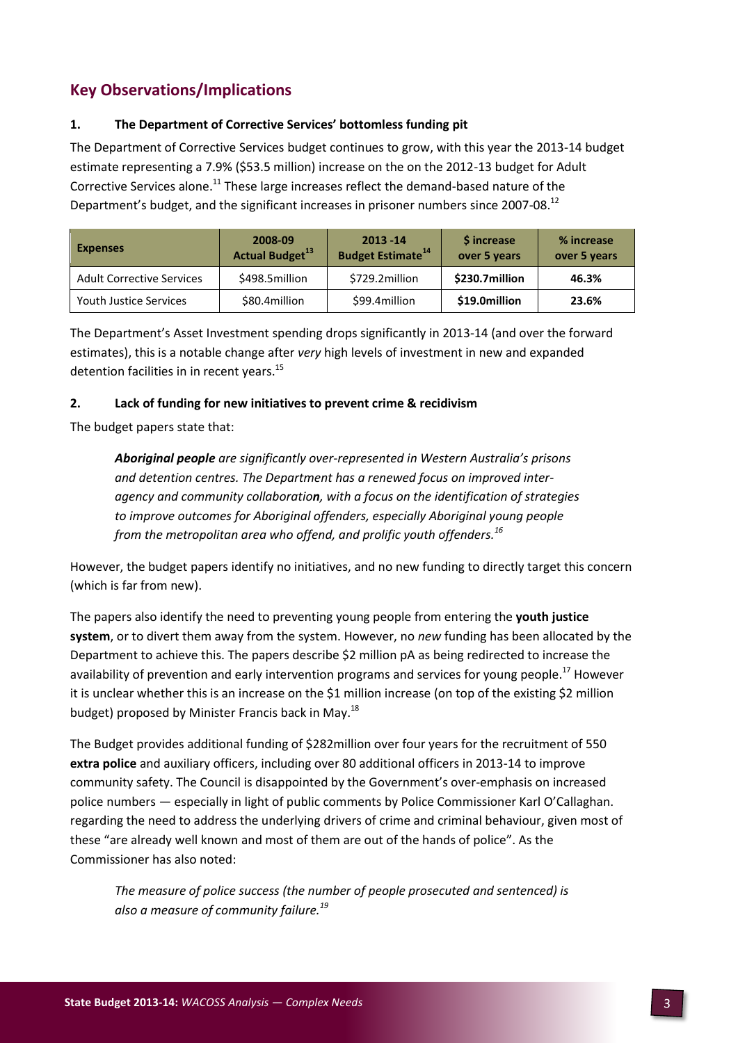# **Key Observations/Implications**

#### **1. The Department of Corrective Services' bottomless funding pit**

The Department of Corrective Services budget continues to grow, with this year the 2013-14 budget estimate representing a 7.9% (\$53.5 million) increase on the on the 2012-13 budget for Adult Corrective Services alone.<sup>11</sup> These large increases reflect the demand-based nature of the Department's budget, and the significant increases in prisoner numbers since 2007-08.<sup>12</sup>

| <b>Expenses</b>                  | 2008-09<br><b>Actual Budget</b> <sup>13</sup> | $2013 - 14$<br><b>Budget Estimate<sup>14</sup></b> | <b>S</b> increase<br>over 5 years | % increase<br>over 5 years |
|----------------------------------|-----------------------------------------------|----------------------------------------------------|-----------------------------------|----------------------------|
| <b>Adult Corrective Services</b> | \$498.5million                                | \$729.2million                                     | \$230.7million                    | 46.3%                      |
| <b>Youth Justice Services</b>    | \$80.4million                                 | \$99.4million                                      | \$19.0million                     | 23.6%                      |

The Department's Asset Investment spending drops significantly in 2013-14 (and over the forward estimates), this is a notable change after *very* high levels of investment in new and expanded detention facilities in in recent years.<sup>15</sup>

#### **2. Lack of funding for new initiatives to prevent crime & recidivism**

The budget papers state that:

*Aboriginal people are significantly over-represented in Western Australia's prisons and detention centres. The Department has a renewed focus on improved interagency and community collaboration, with a focus on the identification of strategies to improve outcomes for Aboriginal offenders, especially Aboriginal young people from the metropolitan area who offend, and prolific youth offenders.<sup>16</sup>*

However, the budget papers identify no initiatives, and no new funding to directly target this concern (which is far from new).

The papers also identify the need to preventing young people from entering the **youth justice system**, or to divert them away from the system. However, no *new* funding has been allocated by the Department to achieve this. The papers describe \$2 million pA as being redirected to increase the availability of prevention and early intervention programs and services for young people.<sup>17</sup> However it is unclear whether this is an increase on the \$1 million increase (on top of the existing \$2 million budget) proposed by Minister Francis back in May.<sup>18</sup>

The Budget provides additional funding of \$282million over four years for the recruitment of 550 **extra police** and auxiliary officers, including over 80 additional officers in 2013-14 to improve community safety. The Council is disappointed by the Government's over-emphasis on increased police numbers — especially in light of public comments by Police Commissioner Karl O'Callaghan. regarding the need to address the underlying drivers of crime and criminal behaviour, given most of these "are already well known and most of them are out of the hands of police". As the Commissioner has also noted:

*The measure of police success (the number of people prosecuted and sentenced) is also a measure of community failure.<sup>19</sup>*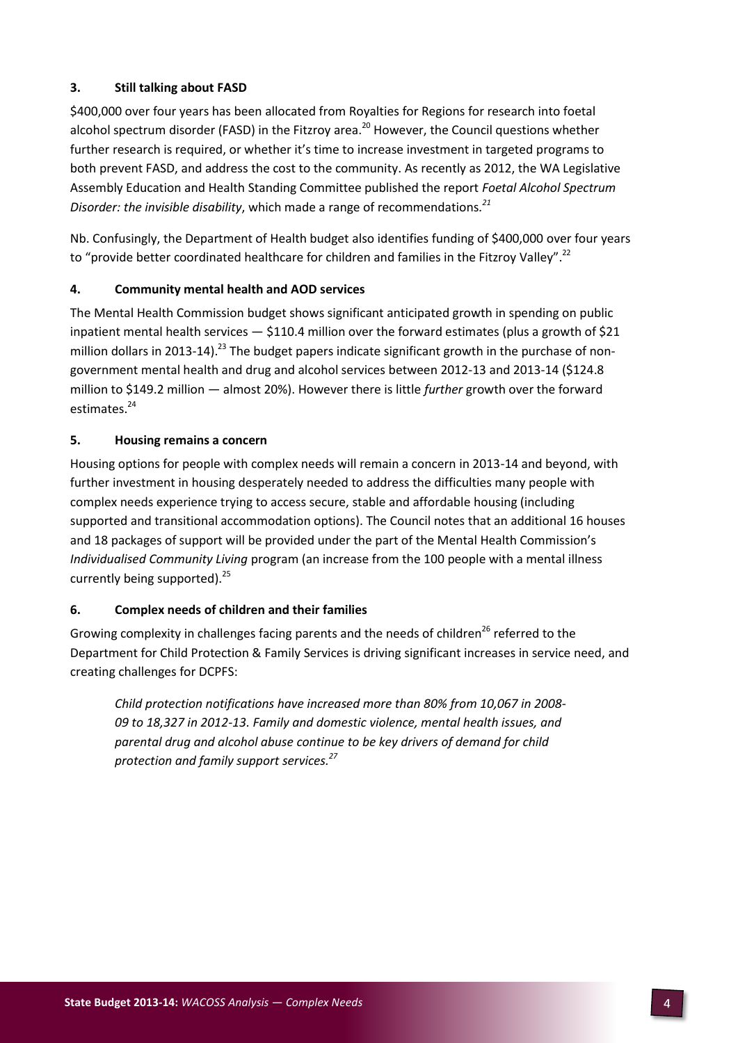#### **3. Still talking about FASD**

\$400,000 over four years has been allocated from Royalties for Regions for research into foetal alcohol spectrum disorder (FASD) in the Fitzroy area.<sup>20</sup> However, the Council questions whether further research is required, or whether it's time to increase investment in targeted programs to both prevent FASD, and address the cost to the community. As recently as 2012, the WA Legislative Assembly Education and Health Standing Committee published the report *Foetal Alcohol Spectrum Disorder: the invisible disability*, which made a range of recommendations*. 21*

Nb. Confusingly, the Department of Health budget also identifies funding of \$400,000 over four years to "provide better coordinated healthcare for children and families in the Fitzroy Valley".<sup>22</sup>

#### **4. Community mental health and AOD services**

The Mental Health Commission budget shows significant anticipated growth in spending on public inpatient mental health services — \$110.4 million over the forward estimates (plus a growth of \$21 million dollars in 2013-14).<sup>23</sup> The budget papers indicate significant growth in the purchase of nongovernment mental health and drug and alcohol services between 2012-13 and 2013-14 (\$124.8 million to \$149.2 million — almost 20%). However there is little *further* growth over the forward estimates.<sup>24</sup>

#### **5. Housing remains a concern**

Housing options for people with complex needs will remain a concern in 2013-14 and beyond, with further investment in housing desperately needed to address the difficulties many people with complex needs experience trying to access secure, stable and affordable housing (including supported and transitional accommodation options). The Council notes that an additional 16 houses and 18 packages of support will be provided under the part of the Mental Health Commission's *Individualised Community Living* program (an increase from the 100 people with a mental illness currently being supported).<sup>25</sup>

#### **6. Complex needs of children and their families**

Growing complexity in challenges facing parents and the needs of children<sup>26</sup> referred to the Department for Child Protection & Family Services is driving significant increases in service need, and creating challenges for DCPFS:

*Child protection notifications have increased more than 80% from 10,067 in 2008- 09 to 18,327 in 2012-13. Family and domestic violence, mental health issues, and parental drug and alcohol abuse continue to be key drivers of demand for child protection and family support services.<sup>27</sup>*